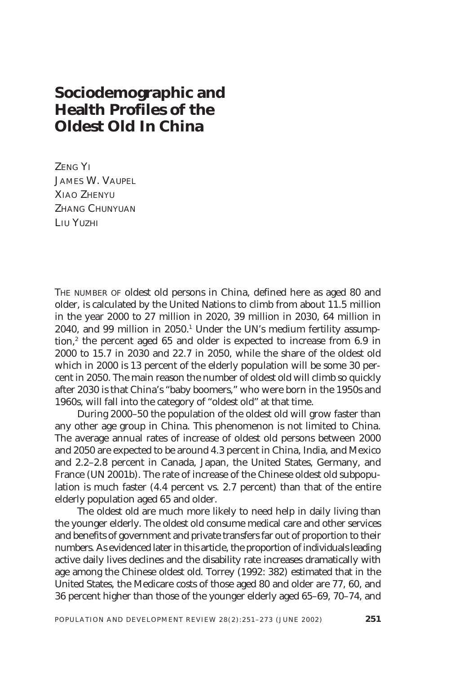# **Sociodemographic and Health Profiles of the Oldest Old In China**

ZENG YI JAMES W. VAUPEL XIAO ZHENYU ZHANG CHUNYUAN LIU YUZHI

THE NUMBER OF oldest old persons in China, defined here as aged 80 and older, is calculated by the United Nations to climb from about 11.5 million in the year 2000 to 27 million in 2020, 39 million in 2030, 64 million in 2040, and 99 million in 2050.<sup>1</sup> Under the UN's medium fertility assumption,<sup>2</sup> the percent aged 65 and older is expected to increase from 6.9 in 2000 to 15.7 in 2030 and 22.7 in 2050, while the share of the oldest old which in 2000 is 13 percent of the elderly population will be some 30 percent in 2050. The main reason the number of oldest old will climb so quickly after 2030 is that China's "baby boomers," who were born in the 1950s and 1960s, will fall into the category of "oldest old" at that time.

During 2000–50 the population of the oldest old will grow faster than any other age group in China. This phenomenon is not limited to China. The average annual rates of increase of oldest old persons between 2000 and 2050 are expected to be around 4.3 percent in China, India, and Mexico and 2.2–2.8 percent in Canada, Japan, the United States, Germany, and France (UN 2001b). The rate of increase of the Chinese oldest old subpopulation is much faster (4.4 percent vs. 2.7 percent) than that of the entire elderly population aged 65 and older.

The oldest old are much more likely to need help in daily living than the younger elderly. The oldest old consume medical care and other services and benefits of government and private transfers far out of proportion to their numbers. As evidenced later in this article, the proportion of individuals leading active daily lives declines and the disability rate increases dramatically with age among the Chinese oldest old. Torrey (1992: 382) estimated that in the United States, the Medicare costs of those aged 80 and older are 77, 60, and 36 percent higher than those of the younger elderly aged 65–69, 70–74, and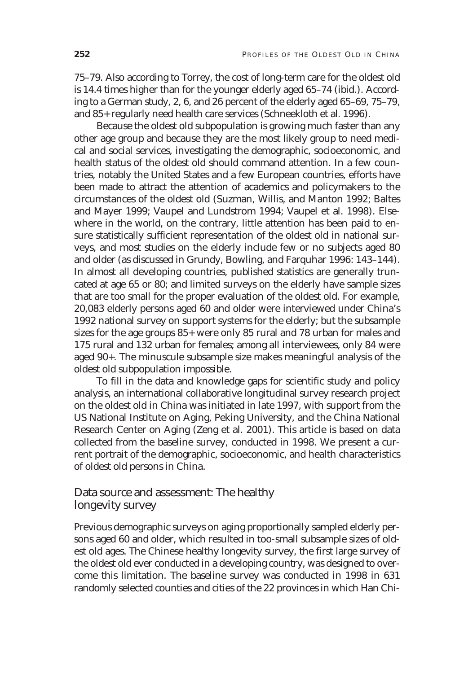75–79. Also according to Torrey, the cost of long-term care for the oldest old is 14.4 times higher than for the younger elderly aged 65–74 (ibid.). According to a German study, 2, 6, and 26 percent of the elderly aged 65–69, 75–79, and 85+ regularly need health care services (Schneekloth et al. 1996).

Because the oldest old subpopulation is growing much faster than any other age group and because they are the most likely group to need medical and social services, investigating the demographic, socioeconomic, and health status of the oldest old should command attention. In a few countries, notably the United States and a few European countries, efforts have been made to attract the attention of academics and policymakers to the circumstances of the oldest old (Suzman, Willis, and Manton 1992; Baltes and Mayer 1999; Vaupel and Lundstrom 1994; Vaupel et al. 1998). Elsewhere in the world, on the contrary, little attention has been paid to ensure statistically sufficient representation of the oldest old in national surveys, and most studies on the elderly include few or no subjects aged 80 and older (as discussed in Grundy, Bowling, and Farquhar 1996: 143–144). In almost all developing countries, published statistics are generally truncated at age 65 or 80; and limited surveys on the elderly have sample sizes that are too small for the proper evaluation of the oldest old. For example, 20,083 elderly persons aged 60 and older were interviewed under China's 1992 national survey on support systems for the elderly; but the subsample sizes for the age groups 85+ were only 85 rural and 78 urban for males and 175 rural and 132 urban for females; among all interviewees, only 84 were aged 90+. The minuscule subsample size makes meaningful analysis of the oldest old subpopulation impossible.

To fill in the data and knowledge gaps for scientific study and policy analysis, an international collaborative longitudinal survey research project on the oldest old in China was initiated in late 1997, with support from the US National Institute on Aging, Peking University, and the China National Research Center on Aging (Zeng et al. 2001). This article is based on data collected from the baseline survey, conducted in 1998. We present a current portrait of the demographic, socioeconomic, and health characteristics of oldest old persons in China.

# Data source and assessment: The healthy longevity survey

Previous demographic surveys on aging proportionally sampled elderly persons aged 60 and older, which resulted in too-small subsample sizes of oldest old ages. The Chinese healthy longevity survey, the first large survey of the oldest old ever conducted in a developing country, was designed to overcome this limitation. The baseline survey was conducted in 1998 in 631 randomly selected counties and cities of the 22 provinces in which Han Chi-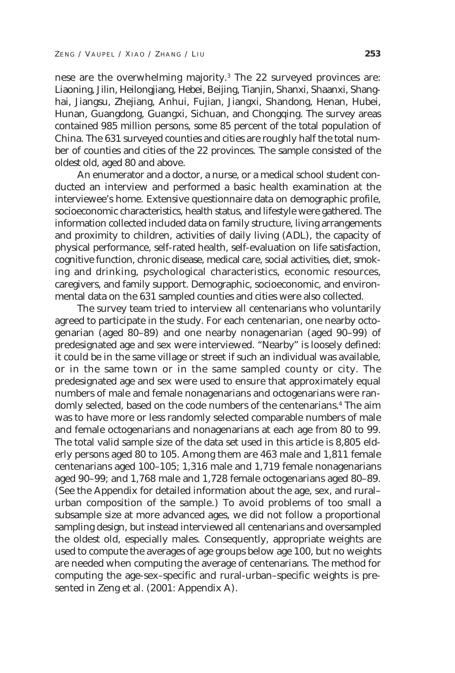nese are the overwhelming majority.<sup>3</sup> The 22 surveyed provinces are: Liaoning, Jilin, Heilongjiang, Hebei, Beijing, Tianjin, Shanxi, Shaanxi, Shanghai, Jiangsu, Zhejiang, Anhui, Fujian, Jiangxi, Shandong, Henan, Hubei, Hunan, Guangdong, Guangxi, Sichuan, and Chongqing. The survey areas contained 985 million persons, some 85 percent of the total population of China. The 631 surveyed counties and cities are roughly half the total number of counties and cities of the 22 provinces. The sample consisted of the oldest old, aged 80 and above.

An enumerator and a doctor, a nurse, or a medical school student conducted an interview and performed a basic health examination at the interviewee's home. Extensive questionnaire data on demographic profile, socioeconomic characteristics, health status, and lifestyle were gathered. The information collected included data on family structure, living arrangements and proximity to children, activities of daily living (ADL), the capacity of physical performance, self-rated health, self-evaluation on life satisfaction, cognitive function, chronic disease, medical care, social activities, diet, smoking and drinking, psychological characteristics, economic resources, caregivers, and family support. Demographic, socioeconomic, and environmental data on the 631 sampled counties and cities were also collected.

The survey team tried to interview all centenarians who voluntarily agreed to participate in the study. For each centenarian, one nearby octogenarian (aged 80–89) and one nearby nonagenarian (aged 90–99) of predesignated age and sex were interviewed. "Nearby" is loosely defined: it could be in the same village or street if such an individual was available, or in the same town or in the same sampled county or city. The predesignated age and sex were used to ensure that approximately equal numbers of male and female nonagenarians and octogenarians were randomly selected, based on the code numbers of the centenarians.<sup>4</sup> The aim was to have more or less randomly selected comparable numbers of male and female octogenarians and nonagenarians at each age from 80 to 99. The total valid sample size of the data set used in this article is 8,805 elderly persons aged 80 to 105. Among them are 463 male and 1,811 female centenarians aged 100–105; 1,316 male and 1,719 female nonagenarians aged 90–99; and 1,768 male and 1,728 female octogenarians aged 80–89. (See the Appendix for detailed information about the age, sex, and rural– urban composition of the sample.) To avoid problems of too small a subsample size at more advanced ages, we did not follow a proportional sampling design, but instead interviewed all centenarians and oversampled the oldest old, especially males. Consequently, appropriate weights are used to compute the averages of age groups below age 100, but no weights are needed when computing the average of centenarians. The method for computing the age-sex–specific and rural-urban–specific weights is presented in Zeng et al. (2001: Appendix A).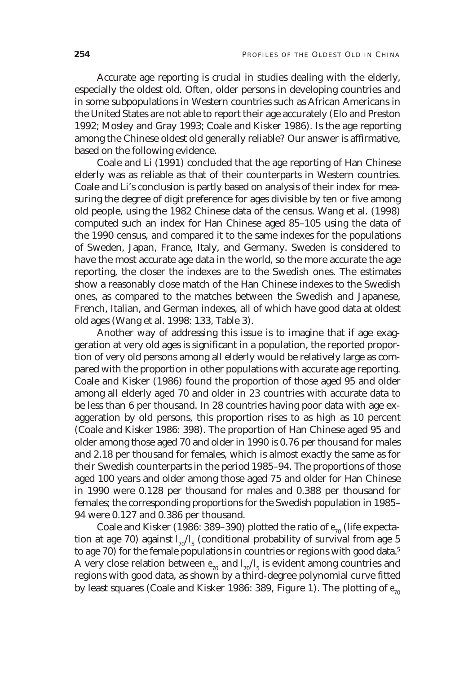Accurate age reporting is crucial in studies dealing with the elderly, especially the oldest old. Often, older persons in developing countries and in some subpopulations in Western countries such as African Americans in the United States are not able to report their age accurately (Elo and Preston 1992; Mosley and Gray 1993; Coale and Kisker 1986). Is the age reporting among the Chinese oldest old generally reliable? Our answer is affirmative, based on the following evidence.

Coale and Li (1991) concluded that the age reporting of Han Chinese elderly was as reliable as that of their counterparts in Western countries. Coale and Li's conclusion is partly based on analysis of their index for measuring the degree of digit preference for ages divisible by ten or five among old people, using the 1982 Chinese data of the census. Wang et al. (1998) computed such an index for Han Chinese aged 85–105 using the data of the 1990 census, and compared it to the same indexes for the populations of Sweden, Japan, France, Italy, and Germany. Sweden is considered to have the most accurate age data in the world, so the more accurate the age reporting, the closer the indexes are to the Swedish ones. The estimates show a reasonably close match of the Han Chinese indexes to the Swedish ones, as compared to the matches between the Swedish and Japanese, French, Italian, and German indexes, all of which have good data at oldest old ages (Wang et al. 1998: 133, Table 3).

Another way of addressing this issue is to imagine that if age exaggeration at very old ages is significant in a population, the reported proportion of very old persons among all elderly would be relatively large as compared with the proportion in other populations with accurate age reporting. Coale and Kisker (1986) found the proportion of those aged 95 and older among all elderly aged 70 and older in 23 countries with accurate data to be less than 6 per thousand. In 28 countries having poor data with age exaggeration by old persons, this proportion rises to as high as 10 percent (Coale and Kisker 1986: 398). The proportion of Han Chinese aged 95 and older among those aged 70 and older in 1990 is 0.76 per thousand for males and 2.18 per thousand for females, which is almost exactly the same as for their Swedish counterparts in the period 1985–94. The proportions of those aged 100 years and older among those aged 75 and older for Han Chinese in 1990 were 0.128 per thousand for males and 0.388 per thousand for females; the corresponding proportions for the Swedish population in 1985– 94 were 0.127 and 0.386 per thousand.

Coale and Kisker (1986: 389-390) plotted the ratio of  $e_{70}$  (life expectation at age 70) against *l* <sup>70</sup>/*l* <sup>5</sup> (conditional probability of survival from age 5 to age 70) for the female populations in countries or regions with good data.<sup>5</sup> A very close relation between  $e_{_{70}}$  and  $l_{_{70}}/l_{_5}$  is evident among countries and regions with good data, as shown by a third-degree polynomial curve fitted by least squares (Coale and Kisker 1986: 389, Figure 1). The plotting of  $e_{70}$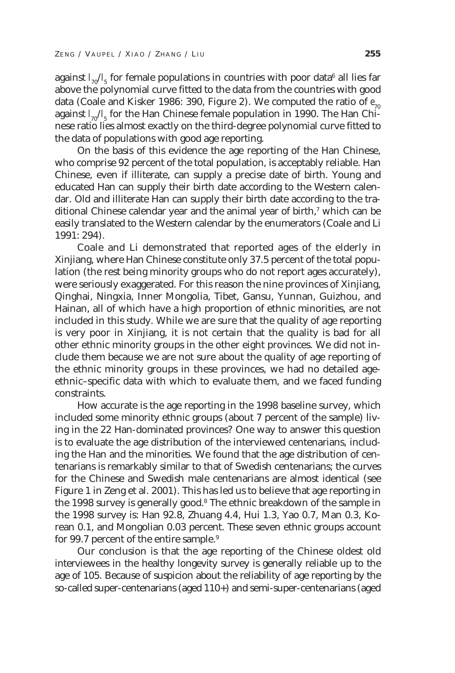against  $l_{\tau 0}/l_{\rm 5}$  for female populations in countries with poor data $^6$  all lies far above the polynomial curve fitted to the data from the countries with good data (Coale and Kisker 1986: 390, Figure 2). We computed the ratio of  $e_{70}$ against  $l_{70}/l_{5}$  for the Han Chinese female population in 1990. The Han Chinese ratio lies almost exactly on the third-degree polynomial curve fitted to the data of populations with good age reporting.

On the basis of this evidence the age reporting of the Han Chinese, who comprise 92 percent of the total population, is acceptably reliable. Han Chinese, even if illiterate, can supply a precise date of birth. Young and educated Han can supply their birth date according to the Western calendar. Old and illiterate Han can supply their birth date according to the traditional Chinese calendar year and the animal year of birth,<sup>7</sup> which can be easily translated to the Western calendar by the enumerators (Coale and Li 1991: 294).

Coale and Li demonstrated that reported ages of the elderly in Xinjiang, where Han Chinese constitute only 37.5 percent of the total population (the rest being minority groups who do not report ages accurately), were seriously exaggerated. For this reason the nine provinces of Xinjiang, Qinghai, Ningxia, Inner Mongolia, Tibet, Gansu, Yunnan, Guizhou, and Hainan, all of which have a high proportion of ethnic minorities, are not included in this study. While we are sure that the quality of age reporting is very poor in Xinjiang, it is not certain that the quality is bad for all other ethnic minority groups in the other eight provinces. We did not include them because we are not sure about the quality of age reporting of the ethnic minority groups in these provinces, we had no detailed ageethnic–specific data with which to evaluate them, and we faced funding constraints.

How accurate is the age reporting in the 1998 baseline survey, which included some minority ethnic groups (about 7 percent of the sample) living in the 22 Han-dominated provinces? One way to answer this question is to evaluate the age distribution of the interviewed centenarians, including the Han and the minorities. We found that the age distribution of centenarians is remarkably similar to that of Swedish centenarians; the curves for the Chinese and Swedish male centenarians are almost identical (see Figure 1 in Zeng et al. 2001). This has led us to believe that age reporting in the 1998 survey is generally good.<sup>8</sup> The ethnic breakdown of the sample in the 1998 survey is: Han 92.8, Zhuang 4.4, Hui 1.3, Yao 0.7, Man 0.3, Korean 0.1, and Mongolian 0.03 percent. These seven ethnic groups account for 99.7 percent of the entire sample.<sup>9</sup>

Our conclusion is that the age reporting of the Chinese oldest old interviewees in the healthy longevity survey is generally reliable up to the age of 105. Because of suspicion about the reliability of age reporting by the so-called super-centenarians (aged 110+) and semi-super-centenarians (aged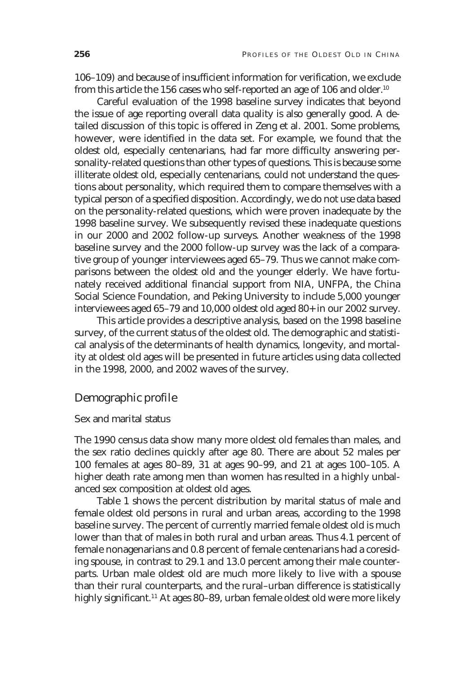106–109) and because of insufficient information for verification, we exclude from this article the 156 cases who self-reported an age of 106 and older.<sup>10</sup>

Careful evaluation of the 1998 baseline survey indicates that beyond the issue of age reporting overall data quality is also generally good. A detailed discussion of this topic is offered in Zeng et al. 2001. Some problems, however, were identified in the data set. For example, we found that the oldest old, especially centenarians, had far more difficulty answering personality-related questions than other types of questions. This is because some illiterate oldest old, especially centenarians, could not understand the questions about personality, which required them to compare themselves with a typical person of a specified disposition. Accordingly, we do not use data based on the personality-related questions, which were proven inadequate by the 1998 baseline survey. We subsequently revised these inadequate questions in our 2000 and 2002 follow-up surveys. Another weakness of the 1998 baseline survey and the 2000 follow-up survey was the lack of a comparative group of younger interviewees aged 65–79. Thus we cannot make comparisons between the oldest old and the younger elderly. We have fortunately received additional financial support from NIA, UNFPA, the China Social Science Foundation, and Peking University to include 5,000 younger interviewees aged 65–79 and 10,000 oldest old aged 80+ in our 2002 survey.

This article provides a descriptive analysis, based on the 1998 baseline survey, of the current status of the oldest old. The demographic and statistical analysis of the determinants of health dynamics, longevity, and mortality at oldest old ages will be presented in future articles using data collected in the 1998, 2000, and 2002 waves of the survey.

# Demographic profile

## Sex and marital status

The 1990 census data show many more oldest old females than males, and the sex ratio declines quickly after age 80. There are about 52 males per 100 females at ages 80–89, 31 at ages 90–99, and 21 at ages 100–105. A higher death rate among men than women has resulted in a highly unbalanced sex composition at oldest old ages.

Table 1 shows the percent distribution by marital status of male and female oldest old persons in rural and urban areas, according to the 1998 baseline survey. The percent of currently married female oldest old is much lower than that of males in both rural and urban areas. Thus 4.1 percent of female nonagenarians and 0.8 percent of female centenarians had a coresiding spouse, in contrast to 29.1 and 13.0 percent among their male counterparts. Urban male oldest old are much more likely to live with a spouse than their rural counterparts, and the rural–urban difference is statistically highly significant.<sup>11</sup> At ages 80-89, urban female oldest old were more likely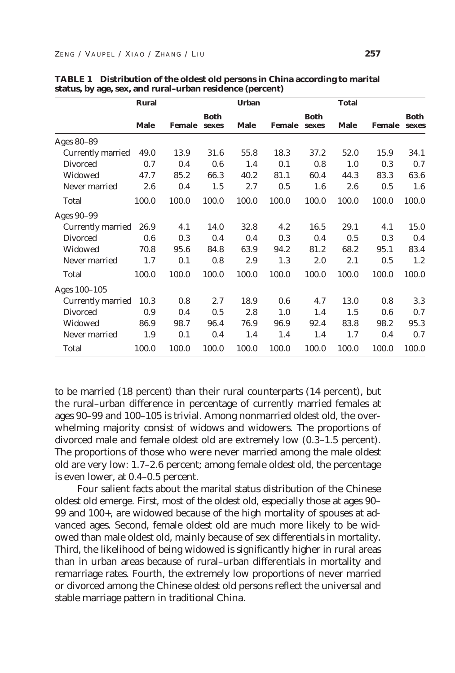|                   | Rural       |               |                      | <b>Urban</b> |        |                      | <b>Total</b> |               |                      |
|-------------------|-------------|---------------|----------------------|--------------|--------|----------------------|--------------|---------------|----------------------|
|                   | <b>Male</b> | <b>Female</b> | <b>Both</b><br>sexes | Male         | Female | <b>Both</b><br>sexes | <b>Male</b>  | <b>Female</b> | <b>Both</b><br>sexes |
| Ages 80-89        |             |               |                      |              |        |                      |              |               |                      |
| Currently married | 49.0        | 13.9          | 31.6                 | 55.8         | 18.3   | 37.2                 | 52.0         | 15.9          | 34.1                 |
| <b>Divorced</b>   | 0.7         | 0.4           | 0.6                  | 1.4          | 0.1    | 0.8                  | 1.0          | 0.3           | 0.7                  |
| Widowed           | 47.7        | 85.2          | 66.3                 | 40.2         | 81.1   | 60.4                 | 44.3         | 83.3          | 63.6                 |
| Never married     | 2.6         | 0.4           | 1.5                  | 2.7          | 0.5    | 1.6                  | 2.6          | 0.5           | 1.6                  |
| Total             | 100.0       | 100.0         | 100.0                | 100.0        | 100.0  | 100.0                | 100.0        | 100.0         | 100.0                |
| Ages 90-99        |             |               |                      |              |        |                      |              |               |                      |
| Currently married | 26.9        | 4.1           | 14.0                 | 32.8         | 4.2    | 16.5                 | 29.1         | 4.1           | 15.0                 |
| <b>Divorced</b>   | 0.6         | 0.3           | 0.4                  | 0.4          | 0.3    | 0.4                  | 0.5          | 0.3           | 0.4                  |
| Widowed           | 70.8        | 95.6          | 84.8                 | 63.9         | 94.2   | 81.2                 | 68.2         | 95.1          | 83.4                 |
| Never married     | 1.7         | 0.1           | 0.8                  | 2.9          | 1.3    | 2.0                  | 2.1          | 0.5           | 1.2                  |
| Total             | 100.0       | 100.0         | 100.0                | 100.0        | 100.0  | 100.0                | 100.0        | 100.0         | 100.0                |
| Ages 100-105      |             |               |                      |              |        |                      |              |               |                      |
| Currently married | 10.3        | 0.8           | 2.7                  | 18.9         | 0.6    | 4.7                  | 13.0         | 0.8           | 3.3                  |
| <b>Divorced</b>   | 0.9         | 0.4           | 0.5                  | 2.8          | 1.0    | 1.4                  | 1.5          | 0.6           | 0.7                  |
| Widowed           | 86.9        | 98.7          | 96.4                 | 76.9         | 96.9   | 92.4                 | 83.8         | 98.2          | 95.3                 |
| Never married     | 1.9         | 0.1           | 0.4                  | 1.4          | 1.4    | 1.4                  | 1.7          | 0.4           | 0.7                  |
| Total             | 100.0       | 100.0         | 100.0                | 100.0        | 100.0  | 100.0                | 100.0        | 100.0         | 100.0                |

**TABLE 1 Distribution of the oldest old persons in China according to marital status, by age, sex, and rural–urban residence (percent)**

to be married (18 percent) than their rural counterparts (14 percent), but the rural–urban difference in percentage of currently married females at ages 90–99 and 100–105 is trivial. Among nonmarried oldest old, the overwhelming majority consist of widows and widowers. The proportions of divorced male and female oldest old are extremely low (0.3–1.5 percent). The proportions of those who were never married among the male oldest old are very low: 1.7–2.6 percent; among female oldest old, the percentage is even lower, at 0.4–0.5 percent.

Four salient facts about the marital status distribution of the Chinese oldest old emerge. First, most of the oldest old, especially those at ages 90– 99 and 100+, are widowed because of the high mortality of spouses at advanced ages. Second, female oldest old are much more likely to be widowed than male oldest old, mainly because of sex differentials in mortality. Third, the likelihood of being widowed is significantly higher in rural areas than in urban areas because of rural–urban differentials in mortality and remarriage rates. Fourth, the extremely low proportions of never married or divorced among the Chinese oldest old persons reflect the universal and stable marriage pattern in traditional China.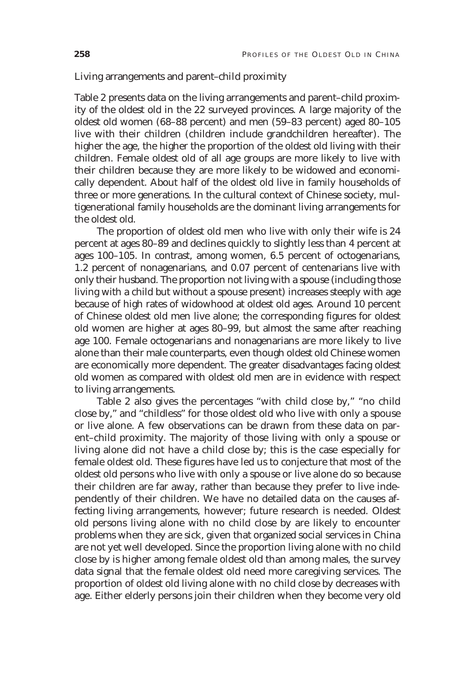## Living arrangements and parent–child proximity

Table 2 presents data on the living arrangements and parent–child proximity of the oldest old in the 22 surveyed provinces. A large majority of the oldest old women (68–88 percent) and men (59–83 percent) aged 80–105 live with their children (children include grandchildren hereafter). The higher the age, the higher the proportion of the oldest old living with their children. Female oldest old of all age groups are more likely to live with their children because they are more likely to be widowed and economically dependent. About half of the oldest old live in family households of three or more generations. In the cultural context of Chinese society, multigenerational family households are the dominant living arrangements for the oldest old.

The proportion of oldest old men who live with only their wife is 24 percent at ages 80–89 and declines quickly to slightly less than 4 percent at ages 100–105. In contrast, among women, 6.5 percent of octogenarians, 1.2 percent of nonagenarians, and 0.07 percent of centenarians live with only their husband. The proportion not living with a spouse (including those living with a child but without a spouse present) increases steeply with age because of high rates of widowhood at oldest old ages. Around 10 percent of Chinese oldest old men live alone; the corresponding figures for oldest old women are higher at ages 80–99, but almost the same after reaching age 100. Female octogenarians and nonagenarians are more likely to live alone than their male counterparts, even though oldest old Chinese women are economically more dependent. The greater disadvantages facing oldest old women as compared with oldest old men are in evidence with respect to living arrangements.

Table 2 also gives the percentages "with child close by," "no child close by," and "childless" for those oldest old who live with only a spouse or live alone. A few observations can be drawn from these data on parent–child proximity. The majority of those living with only a spouse or living alone did not have a child close by; this is the case especially for female oldest old. These figures have led us to conjecture that most of the oldest old persons who live with only a spouse or live alone do so because their children are far away, rather than because they prefer to live independently of their children. We have no detailed data on the causes affecting living arrangements, however; future research is needed. Oldest old persons living alone with no child close by are likely to encounter problems when they are sick, given that organized social services in China are not yet well developed. Since the proportion living alone with no child close by is higher among female oldest old than among males, the survey data signal that the female oldest old need more caregiving services. The proportion of oldest old living alone with no child close by decreases with age. Either elderly persons join their children when they become very old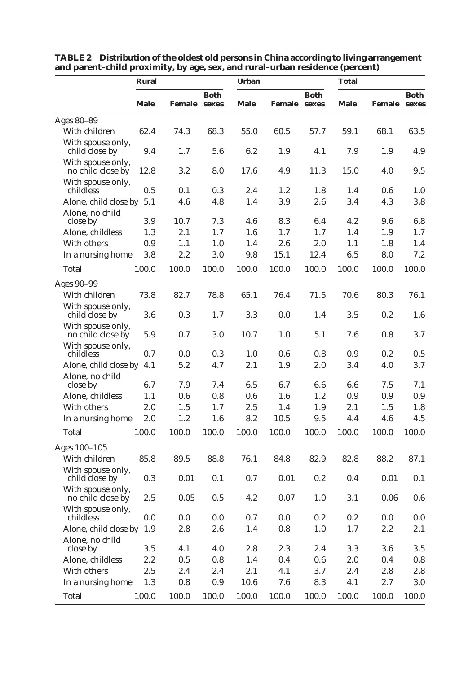|                                        | Rural       |              |             | <b>Urban</b> |              |             | Total |                     |             |  |
|----------------------------------------|-------------|--------------|-------------|--------------|--------------|-------------|-------|---------------------|-------------|--|
|                                        | <b>Male</b> | Female sexes | <b>Both</b> | <b>Male</b>  | Female sexes | <b>Both</b> | Male  | <b>Female</b> sexes | <b>Both</b> |  |
| Ages 80-89                             |             |              |             |              |              |             |       |                     |             |  |
| With children                          | 62.4        | 74.3         | 68.3        | 55.0         | 60.5         | 57.7        | 59.1  | 68.1                | 63.5        |  |
| With spouse only,<br>child close by    | 9.4         | 1.7          | 5.6         | 6.2          | 1.9          | 4.1         | 7.9   | 1.9                 | 4.9         |  |
| With spouse only,<br>no child close by | 12.8        | 3.2          | 8.0         | 17.6         | 4.9          | 11.3        | 15.0  | 4.0                 | 9.5         |  |
| With spouse only,<br>childless         | 0.5         | 0.1          | 0.3         | 2.4          | 1.2          | 1.8         | 1.4   | $0.6\,$             | 1.0         |  |
| Alone, child close by                  | 5.1         | 4.6          | 4.8         | 1.4          | 3.9          | 2.6         | 3.4   | 4.3                 | 3.8         |  |
| Alone, no child                        |             |              |             |              |              |             |       |                     |             |  |
| close by                               | 3.9         | 10.7         | 7.3         | 4.6          | 8.3          | 6.4         | 4.2   | 9.6                 | 6.8         |  |
| Alone, childless                       | 1.3         | 2.1          | 1.7         | 1.6          | 1.7          | 1.7         | 1.4   | 1.9                 | $1.7\,$     |  |
| With others                            | 0.9         | 1.1          | 1.0         | 1.4          | 2.6          | 2.0         | 1.1   | 1.8                 | 1.4         |  |
| In a nursing home                      | 3.8         | 2.2          | 3.0         | 9.8          | 15.1         | 12.4        | 6.5   | 8.0                 | 7.2         |  |
| Total                                  | 100.0       | 100.0        | 100.0       | 100.0        | 100.0        | 100.0       | 100.0 | 100.0               | 100.0       |  |
| Ages 90-99                             |             |              |             |              |              |             |       |                     |             |  |
| With children                          | 73.8        | 82.7         | 78.8        | 65.1         | 76.4         | 71.5        | 70.6  | 80.3                | 76.1        |  |
| With spouse only,<br>child close by    | 3.6         | 0.3          | 1.7         | 3.3          | 0.0          | 1.4         | 3.5   | 0.2                 | 1.6         |  |
| With spouse only,<br>no child close by | 5.9         | 0.7          | 3.0         | 10.7         | 1.0          | 5.1         | 7.6   | $0.8\,$             | 3.7         |  |
| With spouse only,<br>childless         | 0.7         | 0.0          | 0.3         | 1.0          | 0.6          | 0.8         | 0.9   | 0.2                 | 0.5         |  |
| Alone, child close by                  | 4.1         | 5.2          | 4.7         | 2.1          | 1.9          | 2.0         | 3.4   | 4.0                 | 3.7         |  |
| Alone, no child                        |             |              |             |              |              |             |       |                     |             |  |
| close by                               | 6.7         | 7.9          | 7.4         | 6.5          | 6.7          | 6.6         | 6.6   | 7.5                 | 7.1         |  |
| Alone, childless                       | 1.1         | 0.6          | 0.8         | 0.6          | 1.6          | 1.2         | 0.9   | 0.9                 | $0.9\,$     |  |
| With others                            | $2.0\,$     | 1.5          | 1.7         | 2.5          | 1.4          | 1.9         | 2.1   | 1.5                 | 1.8         |  |
| In a nursing home                      | 2.0         | 1.2          | 1.6         | 8.2          | 10.5         | 9.5         | 4.4   | 4.6                 | 4.5         |  |
| Total                                  | 100.0       | 100.0        | 100.0       | 100.0        | 100.0        | 100.0       | 100.0 | 100.0               | 100.0       |  |
| Ages 100-105                           |             |              |             |              |              |             |       |                     |             |  |
| With children                          | 85.8        | 89.5         | 88.8        | 76.1         | 84.8         | 82.9        | 82.8  | 88.2                | 87.1        |  |
| With spouse only,<br>child close by    | 0.3         | 0.01         | 0.1         | 0.7          | 0.01         | 0.2         | 0.4   | 0.01                | 0.1         |  |
| With spouse only,<br>no child close by | 2.5         | 0.05         | 0.5         | 4.2          | 0.07         | 1.0         | 3.1   | $0.06\,$            | 0.6         |  |
| With spouse only,<br>childless         | 0.0         | 0.0          | 0.0         | 0.7          | 0.0          | 0.2         | 0.2   | $0.0\,$             | $0.0\,$     |  |
| Alone, child close by 1.9              |             | 2.8          | 2.6         | 1.4          | $0.8\,$      | 1.0         | 1.7   | 2.2                 | 2.1         |  |
| Alone, no child<br>close by            | 3.5         | 4.1          | 4.0         | 2.8          | 2.3          | 2.4         | 3.3   | 3.6                 | $3.5\,$     |  |
| Alone, childless                       | 2.2         | 0.5          | 0.8         | 1.4          | 0.4          | $0.6\,$     | 2.0   | $0.4\,$             | $0.8\,$     |  |
| With others                            | 2.5         | 2.4          | 2.4         | 2.1          | 4.1          | 3.7         | 2.4   | 2.8                 | 2.8         |  |
| In a nursing home                      | 1.3         | $0.8\,$      | 0.9         | 10.6         | 7.6          | 8.3         | 4.1   | 2.7                 | $3.0\,$     |  |
|                                        |             |              |             |              | 100.0        |             |       |                     |             |  |
| Total                                  | 100.0       | 100.0        | 100.0       | 100.0        |              | 100.0       | 100.0 | 100.0               | 100.0       |  |

**TABLE 2 Distribution of the oldest old persons in China according to living arrangement and parent–child proximity, by age, sex, and rural–urban residence (percent)**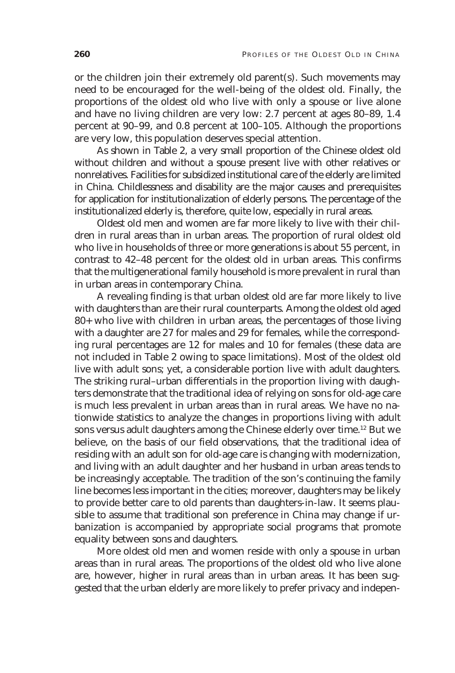or the children join their extremely old parent(s). Such movements may need to be encouraged for the well-being of the oldest old. Finally, the proportions of the oldest old who live with only a spouse or live alone and have no living children are very low: 2.7 percent at ages 80–89, 1.4 percent at 90–99, and 0.8 percent at 100–105. Although the proportions are very low, this population deserves special attention.

As shown in Table 2, a very small proportion of the Chinese oldest old without children and without a spouse present live with other relatives or nonrelatives. Facilities for subsidized institutional care of the elderly are limited in China. Childlessness and disability are the major causes and prerequisites for application for institutionalization of elderly persons. The percentage of the institutionalized elderly is, therefore, quite low, especially in rural areas.

Oldest old men and women are far more likely to live with their children in rural areas than in urban areas. The proportion of rural oldest old who live in households of three or more generations is about 55 percent, in contrast to 42–48 percent for the oldest old in urban areas. This confirms that the multigenerational family household is more prevalent in rural than in urban areas in contemporary China.

A revealing finding is that urban oldest old are far more likely to live with daughters than are their rural counterparts. Among the oldest old aged 80+ who live with children in urban areas, the percentages of those living with a daughter are 27 for males and 29 for females, while the corresponding rural percentages are 12 for males and 10 for females (these data are not included in Table 2 owing to space limitations). Most of the oldest old live with adult sons; yet, a considerable portion live with adult daughters. The striking rural–urban differentials in the proportion living with daughters demonstrate that the traditional idea of relying on sons for old-age care is much less prevalent in urban areas than in rural areas. We have no nationwide statistics to analyze the changes in proportions living with adult sons versus adult daughters among the Chinese elderly over time.12 But we believe, on the basis of our field observations, that the traditional idea of residing with an adult son for old-age care is changing with modernization, and living with an adult daughter and her husband in urban areas tends to be increasingly acceptable. The tradition of the son's continuing the family line becomes less important in the cities; moreover, daughters may be likely to provide better care to old parents than daughters-in-law. It seems plausible to assume that traditional son preference in China may change if urbanization is accompanied by appropriate social programs that promote equality between sons and daughters.

More oldest old men and women reside with only a spouse in urban areas than in rural areas. The proportions of the oldest old who live alone are, however, higher in rural areas than in urban areas. It has been suggested that the urban elderly are more likely to prefer privacy and indepen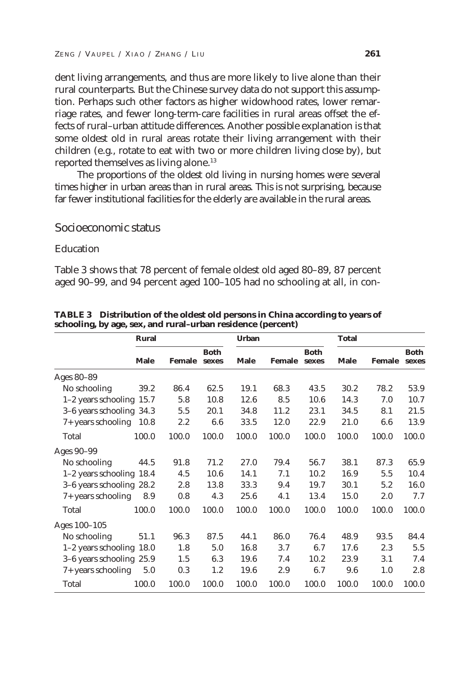dent living arrangements, and thus are more likely to live alone than their rural counterparts. But the Chinese survey data do not support this assumption. Perhaps such other factors as higher widowhood rates, lower remarriage rates, and fewer long-term-care facilities in rural areas offset the effects of rural–urban attitude differences. Another possible explanation is that some oldest old in rural areas rotate their living arrangement with their children (e.g., rotate to eat with two or more children living close by), but reported themselves as living alone.<sup>13</sup>

The proportions of the oldest old living in nursing homes were several times higher in urban areas than in rural areas. This is not surprising, because far fewer institutional facilities for the elderly are available in the rural areas.

## Socioeconomic status

#### **Education**

Table 3 shows that 78 percent of female oldest old aged 80–89, 87 percent aged 90–99, and 94 percent aged 100–105 had no schooling at all, in con-

|                            | <b>Rural</b> |               |                      | <b>Urban</b> |               |                      |             | <b>Total</b>  |                      |  |  |
|----------------------------|--------------|---------------|----------------------|--------------|---------------|----------------------|-------------|---------------|----------------------|--|--|
|                            | <b>Male</b>  | <b>Female</b> | <b>Both</b><br>sexes | <b>Male</b>  | <b>Female</b> | <b>Both</b><br>sexes | <b>Male</b> | <b>Female</b> | <b>Both</b><br>sexes |  |  |
| Ages 80-89                 |              |               |                      |              |               |                      |             |               |                      |  |  |
| No schooling               | 39.2         | 86.4          | 62.5                 | 19.1         | 68.3          | 43.5                 | 30.2        | 78.2          | 53.9                 |  |  |
| $1-2$ years schooling 15.7 |              | 5.8           | 10.8                 | 12.6         | 8.5           | 10.6                 | 14.3        | 7.0           | 10.7                 |  |  |
| 3-6 years schooling 34.3   |              | 5.5           | 20.1                 | 34.8         | 11.2          | 23.1                 | 34.5        | 8.1           | 21.5                 |  |  |
| 7+ years schooling 10.8    |              | 2.2           | 6.6                  | 33.5         | 12.0          | 22.9                 | 21.0        | 6.6           | 13.9                 |  |  |
| Total                      | 100.0        | 100.0         | 100.0                | 100.0        | 100.0         | 100.0                | 100.0       | 100.0         | 100.0                |  |  |
| Ages 90-99                 |              |               |                      |              |               |                      |             |               |                      |  |  |
| No schooling               | 44.5         | 91.8          | 71.2                 | 27.0         | 79.4          | 56.7                 | 38.1        | 87.3          | 65.9                 |  |  |
| $1-2$ years schooling 18.4 |              | 4.5           | 10.6                 | 14.1         | 7.1           | 10.2                 | 16.9        | 5.5           | 10.4                 |  |  |
| 3-6 years schooling 28.2   |              | 2.8           | 13.8                 | 33.3         | 9.4           | 19.7                 | 30.1        | 5.2           | 16.0                 |  |  |
| 7+ years schooling         | 8.9          | 0.8           | 4.3                  | 25.6         | 4.1           | 13.4                 | 15.0        | $2.0\,$       | 7.7                  |  |  |
| Total                      | 100.0        | 100.0         | 100.0                | 100.0        | 100.0         | 100.0                | 100.0       | 100.0         | 100.0                |  |  |
| Ages 100-105               |              |               |                      |              |               |                      |             |               |                      |  |  |
| No schooling               | 51.1         | 96.3          | 87.5                 | 44.1         | 86.0          | 76.4                 | 48.9        | 93.5          | 84.4                 |  |  |
| 1-2 years schooling 18.0   |              | 1.8           | 5.0                  | 16.8         | 3.7           | 6.7                  | 17.6        | 2.3           | 5.5                  |  |  |
| 3-6 years schooling 25.9   |              | 1.5           | 6.3                  | 19.6         | 7.4           | 10.2                 | 23.9        | 3.1           | 7.4                  |  |  |
| 7+ years schooling         | 5.0          | 0.3           | 1.2                  | 19.6         | 2.9           | 6.7                  | 9.6         | 1.0           | 2.8                  |  |  |
| Total                      | 100.0        | 100.0         | 100.0                | 100.0        | 100.0         | 100.0                | 100.0       | 100.0         | 100.0                |  |  |

**TABLE 3 Distribution of the oldest old persons in China according to years of schooling, by age, sex, and rural–urban residence (percent)**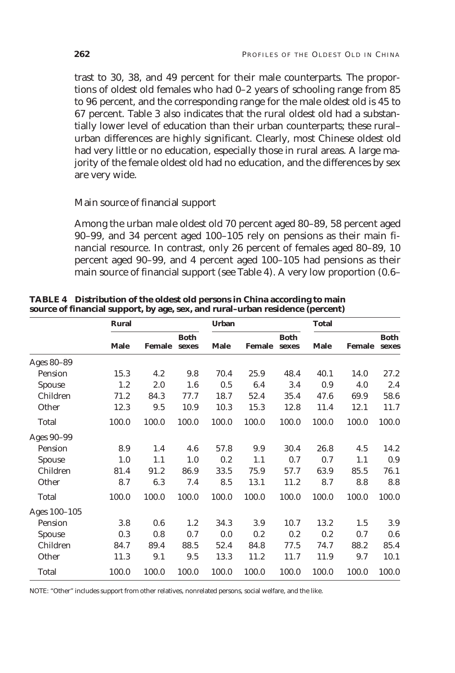trast to 30, 38, and 49 percent for their male counterparts. The proportions of oldest old females who had 0–2 years of schooling range from 85 to 96 percent, and the corresponding range for the male oldest old is 45 to 67 percent. Table 3 also indicates that the rural oldest old had a substantially lower level of education than their urban counterparts; these rural– urban differences are highly significant. Clearly, most Chinese oldest old had very little or no education, especially those in rural areas. A large majority of the female oldest old had no education, and the differences by sex are very wide.

## Main source of financial support

Among the urban male oldest old 70 percent aged 80–89, 58 percent aged 90–99, and 34 percent aged 100–105 rely on pensions as their main financial resource. In contrast, only 26 percent of females aged 80–89, 10 percent aged 90–99, and 4 percent aged 100–105 had pensions as their main source of financial support (see Table 4). A very low proportion (0.6–

|              | Rural       |               |                      | <b>Urban</b> |               |                      | <b>Total</b> |               |                      |  |
|--------------|-------------|---------------|----------------------|--------------|---------------|----------------------|--------------|---------------|----------------------|--|
|              | <b>Male</b> | <b>Female</b> | <b>Both</b><br>sexes | <b>Male</b>  | <b>Female</b> | <b>Both</b><br>sexes | <b>Male</b>  | <b>Female</b> | <b>Both</b><br>sexes |  |
| Ages 80-89   |             |               |                      |              |               |                      |              |               |                      |  |
| Pension      | 15.3        | 4.2           | 9.8                  | 70.4         | 25.9          | 48.4                 | 40.1         | 14.0          | 27.2                 |  |
| Spouse       | 1.2         | 2.0           | 1.6                  | 0.5          | 6.4           | 3.4                  | 0.9          | 4.0           | 2.4                  |  |
| Children     | 71.2        | 84.3          | 77.7                 | 18.7         | 52.4          | 35.4                 | 47.6         | 69.9          | 58.6                 |  |
| Other        | 12.3        | 9.5           | 10.9                 | 10.3         | 15.3          | 12.8                 | 11.4         | 12.1          | 11.7                 |  |
| Total        | 100.0       | 100.0         | 100.0                | 100.0        | 100.0         | 100.0                | 100.0        | 100.0         | 100.0                |  |
| Ages 90-99   |             |               |                      |              |               |                      |              |               |                      |  |
| Pension      | 8.9         | 1.4           | 4.6                  | 57.8         | 9.9           | 30.4                 | 26.8         | 4.5           | 14.2                 |  |
| Spouse       | 1.0         | 1.1           | 1.0                  | 0.2          | 1.1           | 0.7                  | 0.7          | 1.1           | 0.9                  |  |
| Children     | 81.4        | 91.2          | 86.9                 | 33.5         | 75.9          | 57.7                 | 63.9         | 85.5          | 76.1                 |  |
| Other        | 8.7         | 6.3           | 7.4                  | 8.5          | 13.1          | 11.2                 | 8.7          | 8.8           | 8.8                  |  |
| Total        | 100.0       | 100.0         | 100.0                | 100.0        | 100.0         | 100.0                | 100.0        | 100.0         | 100.0                |  |
| Ages 100-105 |             |               |                      |              |               |                      |              |               |                      |  |
| Pension      | 3.8         | 0.6           | 1.2                  | 34.3         | 3.9           | 10.7                 | 13.2         | 1.5           | 3.9                  |  |
| Spouse       | 0.3         | 0.8           | 0.7                  | 0.0          | 0.2           | 0.2                  | 0.2          | 0.7           | 0.6                  |  |
| Children     | 84.7        | 89.4          | 88.5                 | 52.4         | 84.8          | 77.5                 | 74.7         | 88.2          | 85.4                 |  |
| Other        | 11.3        | 9.1           | 9.5                  | 13.3         | 11.2          | 11.7                 | 11.9         | 9.7           | 10.1                 |  |
| Total        | 100.0       | 100.0         | 100.0                | 100.0        | 100.0         | 100.0                | 100.0        | 100.0         | 100.0                |  |

**TABLE 4 Distribution of the oldest old persons in China according to main source of financial support, by age, sex, and rural–urban residence (percent)**

NOTE: "Other" includes support from other relatives, nonrelated persons, social welfare, and the like.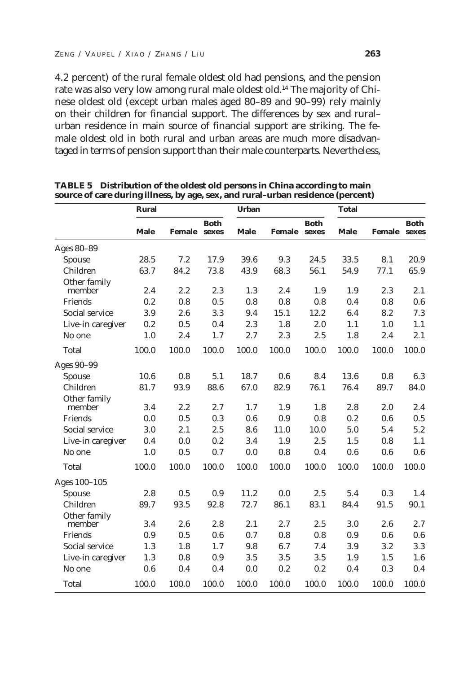4.2 percent) of the rural female oldest old had pensions, and the pension rate was also very low among rural male oldest old.<sup>14</sup> The majority of Chinese oldest old (except urban males aged 80–89 and 90–99) rely mainly on their children for financial support. The differences by sex and rural– urban residence in main source of financial support are striking. The female oldest old in both rural and urban areas are much more disadvantaged in terms of pension support than their male counterparts. Nevertheless,

|                        | <b>Rural</b> |        |                      | <b>Urban</b> |              |             | <b>Total</b> |               |                      |
|------------------------|--------------|--------|----------------------|--------------|--------------|-------------|--------------|---------------|----------------------|
|                        | <b>Male</b>  | Female | <b>Both</b><br>sexes | <b>Male</b>  | Female sexes | <b>Both</b> | <b>Male</b>  | <b>Female</b> | <b>Both</b><br>sexes |
| Ages 80-89             |              |        |                      |              |              |             |              |               |                      |
| Spouse                 | 28.5         | 7.2    | 17.9                 | 39.6         | 9.3          | 24.5        | 33.5         | 8.1           | 20.9                 |
| Children               | 63.7         | 84.2   | 73.8                 | 43.9         | 68.3         | 56.1        | 54.9         | 77.1          | 65.9                 |
| Other family<br>member | 2.4          | 2.2    | 2.3                  | 1.3          | 2.4          | 1.9         | 1.9          | 2.3           | 2.1                  |
| Friends                | 0.2          | 0.8    | 0.5                  | 0.8          | 0.8          | 0.8         | 0.4          | 0.8           | 0.6                  |
| Social service         | 3.9          | 2.6    | 3.3                  | 9.4          | 15.1         | 12.2        | 6.4          | 8.2           | 7.3                  |
| Live-in caregiver      | 0.2          | 0.5    | 0.4                  | 2.3          | 1.8          | 2.0         | 1.1          | 1.0           | 1.1                  |
| No one                 | 1.0          | 2.4    | 1.7                  | 2.7          | 2.3          | 2.5         | 1.8          | 2.4           | 2.1                  |
| Total                  | 100.0        | 100.0  | 100.0                | 100.0        | 100.0        | 100.0       | 100.0        | 100.0         | 100.0                |
| Ages 90-99             |              |        |                      |              |              |             |              |               |                      |
| Spouse                 | 10.6         | 0.8    | 5.1                  | 18.7         | 0.6          | 8.4         | 13.6         | 0.8           | 6.3                  |
| Children               | 81.7         | 93.9   | 88.6                 | 67.0         | 82.9         | 76.1        | 76.4         | 89.7          | 84.0                 |
| Other family<br>member | 3.4          | 2.2    | 2.7                  | 1.7          | 1.9          | 1.8         | 2.8          | 2.0           | 2.4                  |
| Friends                | 0.0          | 0.5    | 0.3                  | 0.6          | 0.9          | 0.8         | 0.2          | 0.6           | 0.5                  |
| Social service         | 3.0          | 2.1    | 2.5                  | 8.6          | 11.0         | 10.0        | 5.0          | 5.4           | 5.2                  |
| Live-in caregiver      | 0.4          | 0.0    | 0.2                  | 3.4          | 1.9          | 2.5         | 1.5          | 0.8           | 1.1                  |
| No one                 | 1.0          | 0.5    | 0.7                  | 0.0          | 0.8          | 0.4         | 0.6          | 0.6           | 0.6                  |
| Total                  | 100.0        | 100.0  | 100.0                | 100.0        | 100.0        | 100.0       | 100.0        | 100.0         | 100.0                |
| Ages 100-105           |              |        |                      |              |              |             |              |               |                      |
| <b>Spouse</b>          | 2.8          | 0.5    | 0.9                  | 11.2         | 0.0          | 2.5         | 5.4          | 0.3           | 1.4                  |
| Children               | 89.7         | 93.5   | 92.8                 | 72.7         | 86.1         | 83.1        | 84.4         | 91.5          | 90.1                 |
| Other family<br>member | 3.4          | 2.6    | 2.8                  | 2.1          | 2.7          | 2.5         | 3.0          | 2.6           | 2.7                  |
| Friends                | 0.9          | 0.5    | 0.6                  | 0.7          | 0.8          | 0.8         | 0.9          | 0.6           | 0.6                  |
| Social service         | 1.3          | 1.8    | 1.7                  | 9.8          | 6.7          | 7.4         | 3.9          | 3.2           | 3.3                  |
| Live-in caregiver      | 1.3          | 0.8    | 0.9                  | 3.5          | 3.5          | 3.5         | 1.9          | 1.5           | 1.6                  |
| No one                 | 0.6          | 0.4    | 0.4                  | 0.0          | 0.2          | 0.2         | 0.4          | 0.3           | 0.4                  |
| Total                  | 100.0        | 100.0  | 100.0                | 100.0        | 100.0        | 100.0       | 100.0        | 100.0         | 100.0                |

**TABLE 5 Distribution of the oldest old persons in China according to main source of care during illness, by age, sex, and rural–urban residence (percent)**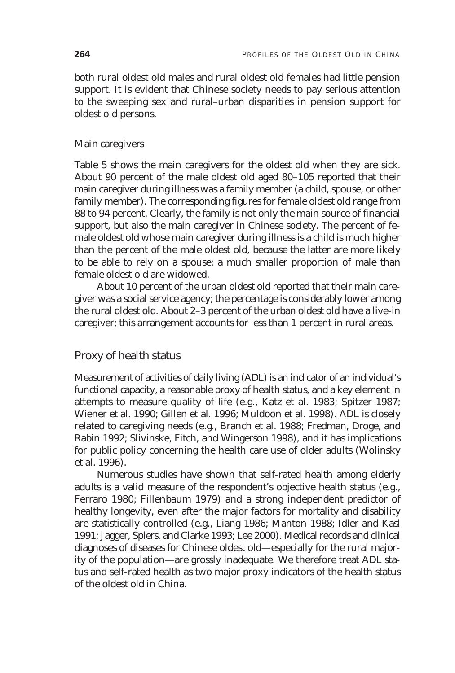both rural oldest old males and rural oldest old females had little pension support. It is evident that Chinese society needs to pay serious attention to the sweeping sex and rural–urban disparities in pension support for oldest old persons.

#### Main caregivers

Table 5 shows the main caregivers for the oldest old when they are sick. About 90 percent of the male oldest old aged 80–105 reported that their main caregiver during illness was a family member (a child, spouse, or other family member). The corresponding figures for female oldest old range from 88 to 94 percent. Clearly, the family is not only the main source of financial support, but also the main caregiver in Chinese society. The percent of female oldest old whose main caregiver during illness is a child is much higher than the percent of the male oldest old, because the latter are more likely to be able to rely on a spouse: a much smaller proportion of male than female oldest old are widowed.

About 10 percent of the urban oldest old reported that their main caregiver was a social service agency; the percentage is considerably lower among the rural oldest old. About 2–3 percent of the urban oldest old have a live-in caregiver; this arrangement accounts for less than 1 percent in rural areas.

# Proxy of health status

Measurement of activities of daily living (ADL) is an indicator of an individual's functional capacity, a reasonable proxy of health status, and a key element in attempts to measure quality of life (e.g., Katz et al. 1983; Spitzer 1987; Wiener et al. 1990; Gillen et al. 1996; Muldoon et al. 1998). ADL is closely related to caregiving needs (e.g., Branch et al. 1988; Fredman, Droge, and Rabin 1992; Slivinske, Fitch, and Wingerson 1998), and it has implications for public policy concerning the health care use of older adults (Wolinsky et al. 1996).

Numerous studies have shown that self-rated health among elderly adults is a valid measure of the respondent's objective health status (e.g., Ferraro 1980; Fillenbaum 1979) and a strong independent predictor of healthy longevity, even after the major factors for mortality and disability are statistically controlled (e.g., Liang 1986; Manton 1988; Idler and Kasl 1991; Jagger, Spiers, and Clarke 1993; Lee 2000). Medical records and clinical diagnoses of diseases for Chinese oldest old—especially for the rural majority of the population—are grossly inadequate. We therefore treat ADL status and self-rated health as two major proxy indicators of the health status of the oldest old in China.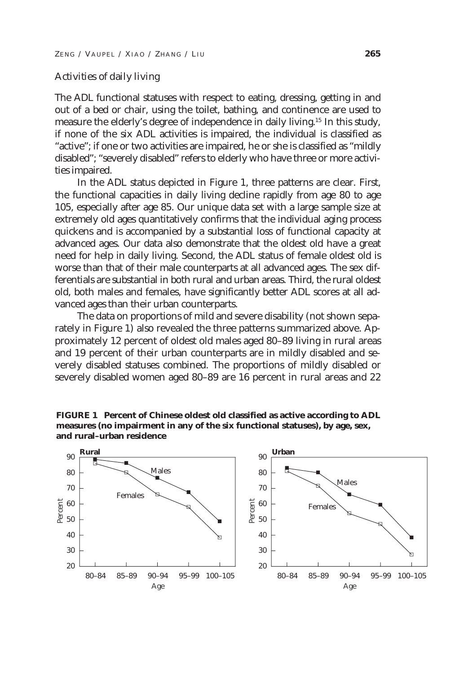#### Activities of daily living

The ADL functional statuses with respect to eating, dressing, getting in and out of a bed or chair, using the toilet, bathing, and continence are used to measure the elderly's degree of independence in daily living.<sup>15</sup> In this study, if none of the six ADL activities is impaired, the individual is classified as "active"; if one or two activities are impaired, he or she is classified as "mildly disabled"; "severely disabled" refers to elderly who have three or more activities impaired.

In the ADL status depicted in Figure 1, three patterns are clear. First, the functional capacities in daily living decline rapidly from age 80 to age 105, especially after age 85. Our unique data set with a large sample size at extremely old ages quantitatively confirms that the individual aging process quickens and is accompanied by a substantial loss of functional capacity at advanced ages. Our data also demonstrate that the oldest old have a great need for help in daily living. Second, the ADL status of female oldest old is worse than that of their male counterparts at all advanced ages. The sex differentials are substantial in both rural and urban areas. Third, the rural oldest old, both males and females, have significantly better ADL scores at all advanced ages than their urban counterparts.

The data on proportions of mild and severe disability (not shown separately in Figure 1) also revealed the three patterns summarized above. Approximately 12 percent of oldest old males aged 80–89 living in rural areas and 19 percent of their urban counterparts are in mildly disabled and severely disabled statuses combined. The proportions of mildly disabled or severely disabled women aged 80–89 are 16 percent in rural areas and 22

**FIGURE 1 Percent of Chinese oldest old classified as active according to ADL measures (no impairment in any of the six functional statuses), by age, sex, and rural–urban residence**

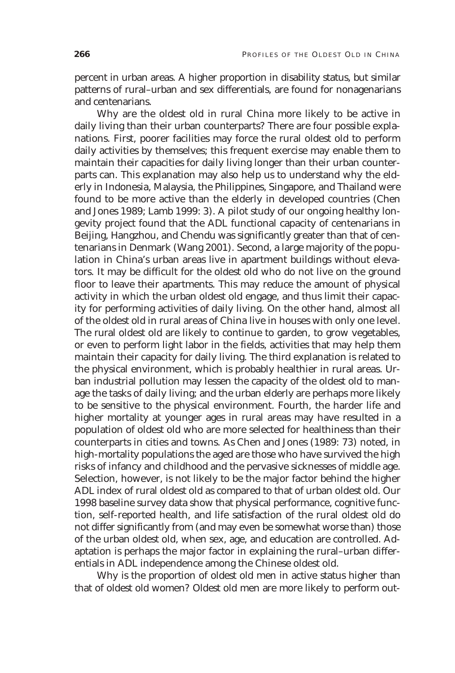percent in urban areas. A higher proportion in disability status, but similar patterns of rural–urban and sex differentials, are found for nonagenarians and centenarians.

Why are the oldest old in rural China more likely to be active in daily living than their urban counterparts? There are four possible explanations. First, poorer facilities may force the rural oldest old to perform daily activities by themselves; this frequent exercise may enable them to maintain their capacities for daily living longer than their urban counterparts can. This explanation may also help us to understand why the elderly in Indonesia, Malaysia, the Philippines, Singapore, and Thailand were found to be more active than the elderly in developed countries (Chen and Jones 1989; Lamb 1999: 3). A pilot study of our ongoing healthy longevity project found that the ADL functional capacity of centenarians in Beijing, Hangzhou, and Chendu was significantly greater than that of centenarians in Denmark (Wang 2001). Second, a large majority of the population in China's urban areas live in apartment buildings without elevators. It may be difficult for the oldest old who do not live on the ground floor to leave their apartments. This may reduce the amount of physical activity in which the urban oldest old engage, and thus limit their capacity for performing activities of daily living. On the other hand, almost all of the oldest old in rural areas of China live in houses with only one level. The rural oldest old are likely to continue to garden, to grow vegetables, or even to perform light labor in the fields, activities that may help them maintain their capacity for daily living. The third explanation is related to the physical environment, which is probably healthier in rural areas. Urban industrial pollution may lessen the capacity of the oldest old to manage the tasks of daily living; and the urban elderly are perhaps more likely to be sensitive to the physical environment. Fourth, the harder life and higher mortality at younger ages in rural areas may have resulted in a population of oldest old who are more selected for healthiness than their counterparts in cities and towns. As Chen and Jones (1989: 73) noted, in high-mortality populations the aged are those who have survived the high risks of infancy and childhood and the pervasive sicknesses of middle age. Selection, however, is not likely to be the major factor behind the higher ADL index of rural oldest old as compared to that of urban oldest old. Our 1998 baseline survey data show that physical performance, cognitive function, self-reported health, and life satisfaction of the rural oldest old do not differ significantly from (and may even be somewhat worse than) those of the urban oldest old, when sex, age, and education are controlled. Adaptation is perhaps the major factor in explaining the rural–urban differentials in ADL independence among the Chinese oldest old.

Why is the proportion of oldest old men in active status higher than that of oldest old women? Oldest old men are more likely to perform out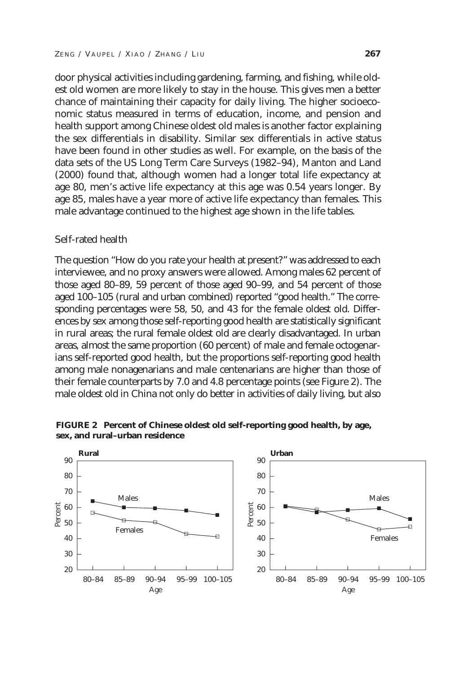door physical activities including gardening, farming, and fishing, while oldest old women are more likely to stay in the house. This gives men a better chance of maintaining their capacity for daily living. The higher socioeconomic status measured in terms of education, income, and pension and health support among Chinese oldest old males is another factor explaining the sex differentials in disability. Similar sex differentials in active status have been found in other studies as well. For example, on the basis of the data sets of the US Long Term Care Surveys (1982–94), Manton and Land (2000) found that, although women had a longer total life expectancy at age 80, men's active life expectancy at this age was 0.54 years longer. By age 85, males have a year more of active life expectancy than females. This male advantage continued to the highest age shown in the life tables.

#### Self-rated health

The question "How do you rate your health at present?" was addressed to each interviewee, and no proxy answers were allowed. Among males 62 percent of those aged 80–89, 59 percent of those aged 90–99, and 54 percent of those aged 100–105 (rural and urban combined) reported "good health." The corresponding percentages were 58, 50, and 43 for the female oldest old. Differences by sex among those self-reporting good health are statistically significant in rural areas; the rural female oldest old are clearly disadvantaged. In urban areas, almost the same proportion (60 percent) of male and female octogenarians self-reported good health, but the proportions self-reporting good health among male nonagenarians and male centenarians are higher than those of their female counterparts by 7.0 and 4.8 percentage points (see Figure 2). The male oldest old in China not only do better in activities of daily living, but also



**FIGURE 2 Percent of Chinese oldest old self-reporting good health, by age, sex, and rural–urban residence**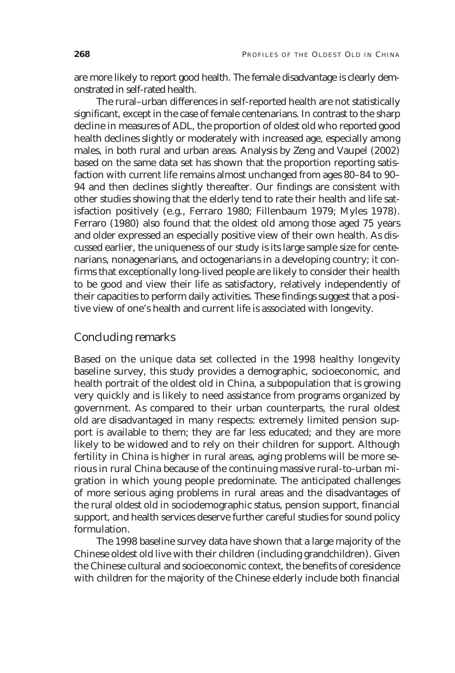are more likely to report good health. The female disadvantage is clearly demonstrated in self-rated health.

The rural–urban differences in self-reported health are not statistically significant, except in the case of female centenarians. In contrast to the sharp decline in measures of ADL, the proportion of oldest old who reported good health declines slightly or moderately with increased age, especially among males, in both rural and urban areas. Analysis by Zeng and Vaupel (2002) based on the same data set has shown that the proportion reporting satisfaction with current life remains almost unchanged from ages 80–84 to 90– 94 and then declines slightly thereafter. Our findings are consistent with other studies showing that the elderly tend to rate their health and life satisfaction positively (e.g., Ferraro 1980; Fillenbaum 1979; Myles 1978). Ferraro (1980) also found that the oldest old among those aged 75 years and older expressed an especially positive view of their own health. As discussed earlier, the uniqueness of our study is its large sample size for centenarians, nonagenarians, and octogenarians in a developing country; it confirms that exceptionally long-lived people are likely to consider their health to be good and view their life as satisfactory, relatively independently of their capacities to perform daily activities. These findings suggest that a positive view of one's health and current life is associated with longevity.

# Concluding remarks

Based on the unique data set collected in the 1998 healthy longevity baseline survey, this study provides a demographic, socioeconomic, and health portrait of the oldest old in China, a subpopulation that is growing very quickly and is likely to need assistance from programs organized by government. As compared to their urban counterparts, the rural oldest old are disadvantaged in many respects: extremely limited pension support is available to them; they are far less educated; and they are more likely to be widowed and to rely on their children for support. Although fertility in China is higher in rural areas, aging problems will be more serious in rural China because of the continuing massive rural-to-urban migration in which young people predominate. The anticipated challenges of more serious aging problems in rural areas and the disadvantages of the rural oldest old in sociodemographic status, pension support, financial support, and health services deserve further careful studies for sound policy formulation.

The 1998 baseline survey data have shown that a large majority of the Chinese oldest old live with their children (including grandchildren). Given the Chinese cultural and socioeconomic context, the benefits of coresidence with children for the majority of the Chinese elderly include both financial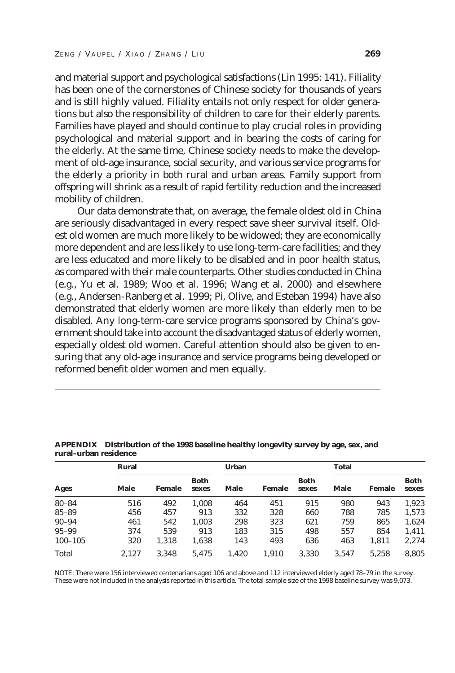and material support and psychological satisfactions (Lin 1995: 141). Filiality has been one of the cornerstones of Chinese society for thousands of years and is still highly valued. Filiality entails not only respect for older generations but also the responsibility of children to care for their elderly parents. Families have played and should continue to play crucial roles in providing psychological and material support and in bearing the costs of caring for the elderly. At the same time, Chinese society needs to make the development of old-age insurance, social security, and various service programs for the elderly a priority in both rural and urban areas. Family support from offspring will shrink as a result of rapid fertility reduction and the increased mobility of children.

Our data demonstrate that, on average, the female oldest old in China are seriously disadvantaged in every respect save sheer survival itself. Oldest old women are much more likely to be widowed; they are economically more dependent and are less likely to use long-term-care facilities; and they are less educated and more likely to be disabled and in poor health status, as compared with their male counterparts. Other studies conducted in China (e.g., Yu et al. 1989; Woo et al. 1996; Wang et al. 2000) and elsewhere (e.g., Andersen-Ranberg et al. 1999; Pi, Olive, and Esteban 1994) have also demonstrated that elderly women are more likely than elderly men to be disabled. Any long-term-care service programs sponsored by China's government should take into account the disadvantaged status of elderly women, especially oldest old women. Careful attention should also be given to ensuring that any old-age insurance and service programs being developed or reformed benefit older women and men equally.

| Ages        | Rural       |        |                      | <b>Urban</b> |        |                      | <b>Total</b> |        |               |
|-------------|-------------|--------|----------------------|--------------|--------|----------------------|--------------|--------|---------------|
|             | <b>Male</b> | Female | <b>Both</b><br>sexes | Male         | Female | <b>Both</b><br>sexes | Male         | Female | Both<br>sexes |
| $80 - 84$   | 516         | 492    | 1.008                | 464          | 451    | 915                  | 980          | 943    | 1,923         |
| $85 - 89$   | 456         | 457    | 913                  | 332          | 328    | 660                  | 788          | 785    | 1,573         |
| $90 - 94$   | 461         | 542    | 1,003                | 298          | 323    | 621                  | 759          | 865    | 1,624         |
| $95 - 99$   | 374         | 539    | 913                  | 183          | 315    | 498                  | 557          | 854    | 1,411         |
| $100 - 105$ | 320         | 1.318  | 1,638                | 143          | 493    | 636                  | 463          | 1,811  | 2,274         |
| Total       | 2.127       | 3,348  | 5.475                | 1.420        | 1.910  | 3,330                | 3.547        | 5.258  | 8.805         |

**APPENDIX Distribution of the 1998 baseline healthy longevity survey by age, sex, and rural–urban residence**

NOTE: There were 156 interviewed centenarians aged 106 and above and 112 interviewed elderly aged 78–79 in the survey. These were not included in the analysis reported in this article. The total sample size of the 1998 baseline survey was 9,073.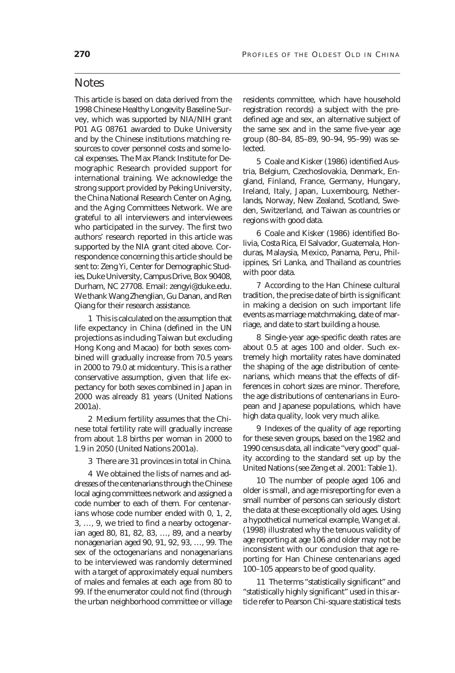## **Notes**

This article is based on data derived from the 1998 Chinese Healthy Longevity Baseline Survey, which was supported by NIA/NIH grant P01 AG 08761 awarded to Duke University and by the Chinese institutions matching resources to cover personnel costs and some local expenses. The Max Planck Institute for Demographic Research provided support for international training. We acknowledge the strong support provided by Peking University, the China National Research Center on Aging, and the Aging Committees Network. We are grateful to all interviewers and interviewees who participated in the survey. The first two authors' research reported in this article was supported by the NIA grant cited above. Correspondence concerning this article should be sent to: Zeng Yi, Center for Demographic Studies, Duke University, Campus Drive, Box 90408, Durham, NC 27708. Email: zengyi@duke.edu. We thank Wang Zhenglian, Gu Danan, and Ren Qiang for their research assistance.

1 This is calculated on the assumption that life expectancy in China (defined in the UN projections as including Taiwan but excluding Hong Kong and Macao) for both sexes combined will gradually increase from 70.5 years in 2000 to 79.0 at midcentury. This is a rather conservative assumption, given that life expectancy for both sexes combined in Japan in 2000 was already 81 years (United Nations 2001a).

2 Medium fertility assumes that the Chinese total fertility rate will gradually increase from about 1.8 births per woman in 2000 to 1.9 in 2050 (United Nations 2001a).

3 There are 31 provinces in total in China.

4 We obtained the lists of names and addresses of the centenarians through the Chinese local aging committees network and assigned a code number to each of them. For centenarians whose code number ended with 0, 1, 2, 3, …, 9, we tried to find a nearby octogenarian aged 80, 81, 82, 83, …, 89, and a nearby nonagenarian aged 90, 91, 92, 93, …, 99. The sex of the octogenarians and nonagenarians to be interviewed was randomly determined with a target of approximately equal numbers of males and females at each age from 80 to 99. If the enumerator could not find (through the urban neighborhood committee or village residents committee, which have household registration records) a subject with the predefined age and sex, an alternative subject of the same sex and in the same five-year age group (80–84, 85–89, 90–94, 95–99) was selected.

5 Coale and Kisker (1986) identified Austria, Belgium, Czechoslovakia, Denmark, England, Finland, France, Germany, Hungary, Ireland, Italy, Japan, Luxembourg, Netherlands, Norway, New Zealand, Scotland, Sweden, Switzerland, and Taiwan as countries or regions with good data.

6 Coale and Kisker (1986) identified Bolivia, Costa Rica, El Salvador, Guatemala, Honduras, Malaysia, Mexico, Panama, Peru, Philippines, Sri Lanka, and Thailand as countries with poor data.

7 According to the Han Chinese cultural tradition, the precise date of birth is significant in making a decision on such important life events as marriage matchmaking, date of marriage, and date to start building a house.

8 Single-year age-specific death rates are about 0.5 at ages 100 and older. Such extremely high mortality rates have dominated the shaping of the age distribution of centenarians, which means that the effects of differences in cohort sizes are minor. Therefore, the age distributions of centenarians in European and Japanese populations, which have high data quality, look very much alike.

9 Indexes of the quality of age reporting for these seven groups, based on the 1982 and 1990 census data, all indicate "very good" quality according to the standard set up by the United Nations (see Zeng et al. 2001: Table 1).

10 The number of people aged 106 and older is small, and age misreporting for even a small number of persons can seriously distort the data at these exceptionally old ages. Using a hypothetical numerical example, Wang et al. (1998) illustrated why the tenuous validity of age reporting at age 106 and older may not be inconsistent with our conclusion that age reporting for Han Chinese centenarians aged 100–105 appears to be of good quality.

11 The terms "statistically significant" and "statistically highly significant" used in this article refer to Pearson Chi-square statistical tests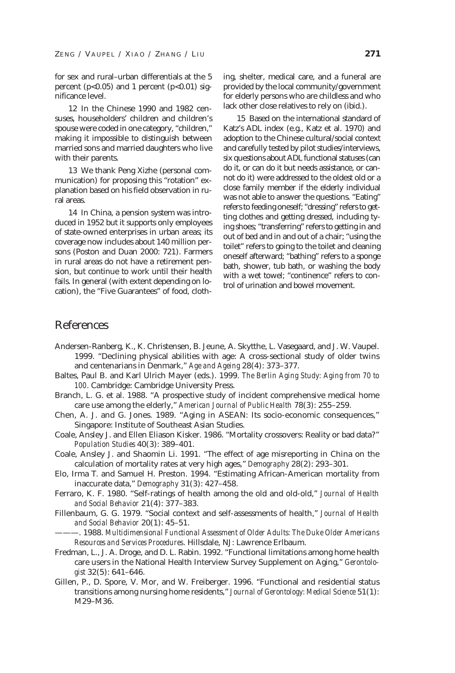for sex and rural–urban differentials at the 5 percent ( $p<0.05$ ) and 1 percent ( $p<0.01$ ) significance level.

12 In the Chinese 1990 and 1982 censuses, householders' children and children's spouse were coded in one category, "children," making it impossible to distinguish between married sons and married daughters who live with their parents.

13 We thank Peng Xizhe (personal communication) for proposing this "rotation" explanation based on his field observation in rural areas.

14 In China, a pension system was introduced in 1952 but it supports only employees of state-owned enterprises in urban areas; its coverage now includes about 140 million persons (Poston and Duan 2000: 721). Farmers in rural areas do not have a retirement pension, but continue to work until their health fails. In general (with extent depending on location), the "Five Guarantees" of food, clothing, shelter, medical care, and a funeral are provided by the local community/government for elderly persons who are childless and who lack other close relatives to rely on (ibid.).

15 Based on the international standard of Katz's ADL index (e.g., Katz et al. 1970) and adoption to the Chinese cultural/social context and carefully tested by pilot studies/interviews, six questions about ADL functional statuses (can do it, or can do it but needs assistance, or cannot do it) were addressed to the oldest old or a close family member if the elderly individual was not able to answer the questions. "Eating" refers to feeding oneself; "dressing" refers to getting clothes and getting dressed, including tying shoes; "transferring" refers to getting in and out of bed and in and out of a chair; "using the toilet" refers to going to the toilet and cleaning oneself afterward; "bathing" refers to a sponge bath, shower, tub bath, or washing the body with a wet towel; "continence" refers to control of urination and bowel movement.

# References

- Andersen-Ranberg, K., K. Christensen, B. Jeune, A. Skytthe, L. Vasegaard, and J. W. Vaupel. 1999. "Declining physical abilities with age: A cross-sectional study of older twins and centenarians in Denmark," *Age and Ageing* 28(4): 373–377.
- Baltes, Paul B. and Karl Ulrich Mayer (eds.). 1999. *The Berlin Aging Study: Aging from 70 to 100*. Cambridge: Cambridge University Press.
- Branch, L. G. et al. 1988. "A prospective study of incident comprehensive medical home care use among the elderly," *American Journal of Public Health* 78(3): 255–259.
- Chen, A. J. and G. Jones. 1989. "Aging in ASEAN: Its socio-economic consequences," Singapore: Institute of Southeast Asian Studies.
- Coale, Ansley J. and Ellen Eliason Kisker. 1986. "Mortality crossovers: Reality or bad data?" *Population Studies* 40(3): 389–401.
- Coale, Ansley J. and Shaomin Li. 1991. "The effect of age misreporting in China on the calculation of mortality rates at very high ages," *Demography* 28(2): 293–301.
- Elo, Irma T. and Samuel H. Preston. 1994. "Estimating African-American mortality from inaccurate data," *Demography* 31(3): 427–458.
- Ferraro, K. F. 1980. "Self-ratings of health among the old and old-old," *Journal of Health and Social Behavior* 21(4): 377–383.
- Fillenbaum, G. G. 1979. "Social context and self-assessments of health," *Journal of Health and Social Behavior* 20(1): 45–51.
- ———. 1988. *Multidimensional Functional Assessment of Older Adults: The Duke Older Americans Resources and Services Procedures*. Hillsdale, NJ: Lawrence Erlbaum.
- Fredman, L., J. A. Droge, and D. L. Rabin. 1992. "Functional limitations among home health care users in the National Health Interview Survey Supplement on Aging," *Gerontologist* 32(5): 641–646.
- Gillen, P., D. Spore, V. Mor, and W. Freiberger. 1996. "Functional and residential status transitions among nursing home residents," *Journal of Gerontology: Medical Science* 51(1): M29–M36.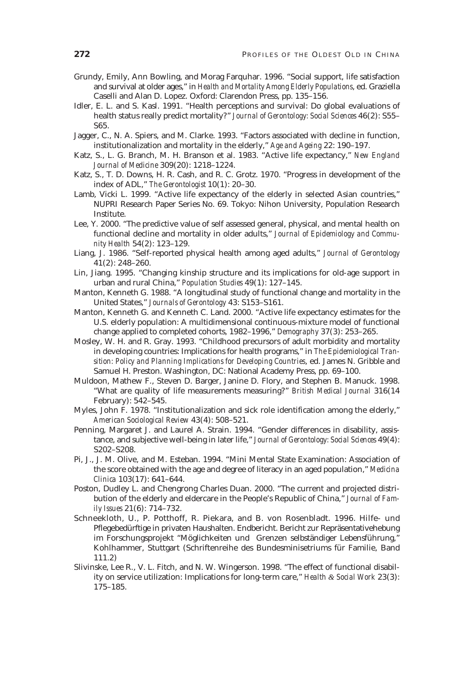- Grundy, Emily, Ann Bowling, and Morag Farquhar. 1996. "Social support, life satisfaction and survival at older ages," in *Health and Mortality Among Elderly Populations*, ed. Graziella Caselli and Alan D. Lopez. Oxford: Clarendon Press, pp. 135–156.
- Idler, E. L. and S. Kasl. 1991. "Health perceptions and survival: Do global evaluations of health status really predict mortality?" *Journal of Gerontology: Social Sciences* 46(2): S55– S65.
- Jagger, C., N. A. Spiers, and M. Clarke. 1993. "Factors associated with decline in function, institutionalization and mortality in the elderly," *Age and Ageing* 22: 190–197.
- Katz, S., L. G. Branch, M. H. Branson et al. 1983. "Active life expectancy," *New England Journal of Medicine* 309(20): 1218–1224.
- Katz, S., T. D. Downs, H. R. Cash, and R. C. Grotz. 1970. "Progress in development of the index of ADL," *The Gerontologist* 10(1): 20–30.
- Lamb, Vicki L. 1999. "Active life expectancy of the elderly in selected Asian countries," NUPRI Research Paper Series No. 69. Tokyo: Nihon University, Population Research Institute.
- Lee, Y. 2000. "The predictive value of self assessed general, physical, and mental health on functional decline and mortality in older adults," *Journal of Epidemiology and Community Health* 54(2): 123–129.
- Liang, J. 1986. "Self-reported physical health among aged adults," *Journal of Gerontology* 41(2): 248–260.
- Lin, Jiang. 1995. "Changing kinship structure and its implications for old-age support in urban and rural China," *Population Studies* 49(1): 127–145.
- Manton, Kenneth G. 1988. "A longitudinal study of functional change and mortality in the United States," *Journals of Gerontology* 43: S153–S161.
- Manton, Kenneth G. and Kenneth C. Land. 2000. "Active life expectancy estimates for the U.S. elderly population: A multidimensional continuous-mixture model of functional change applied to completed cohorts, 1982–1996," *Demography* 37(3): 253–265.
- Mosley, W. H. and R. Gray. 1993. "Childhood precursors of adult morbidity and mortality in developing countries: Implications for health programs," in *The Epidemiological Transition: Policy and Planning Implications for Developing Countries*, ed. James N. Gribble and Samuel H. Preston. Washington, DC: National Academy Press, pp. 69–100.
- Muldoon, Mathew F., Steven D. Barger, Janine D. Flory, and Stephen B. Manuck. 1998. "What are quality of life measurements measuring?" *British Medical Journal* 316(14 February): 542–545.
- Myles, John F. 1978. "Institutionalization and sick role identification among the elderly," *American Sociological Review* 43(4): 508–521.
- Penning, Margaret J. and Laurel A. Strain. 1994. "Gender differences in disability, assistance, and subjective well-being in later life," *Journal of Gerontology: Social Sciences* 49(4): S202–S208.
- Pi, J., J. M. Olive, and M. Esteban. 1994. "Mini Mental State Examination: Association of the score obtained with the age and degree of literacy in an aged population," *Medicina Clinica* 103(17): 641–644.
- Poston, Dudley L. and Chengrong Charles Duan. 2000. "The current and projected distribution of the elderly and eldercare in the People's Republic of China," *Journal of Family Issues* 21(6): 714–732.
- Schneekloth, U., P. Potthoff, R. Piekara, and B. von Rosenbladt. 1996. Hilfe- und Pflegebedürftige in privaten Haushalten. Endbericht. Bericht zur Repräsentativehebung im Forschungsprojekt "Möglichkeiten und Grenzen selbständiger Lebensführung," Kohlhammer, Stuttgart (Schriftenreihe des Bundesminisetriums für Familie, Band 111.2)
- Slivinske, Lee R., V. L. Fitch, and N. W. Wingerson. 1998. "The effect of functional disability on service utilization: Implications for long-term care," *Health & Social Work* 23(3): 175–185.